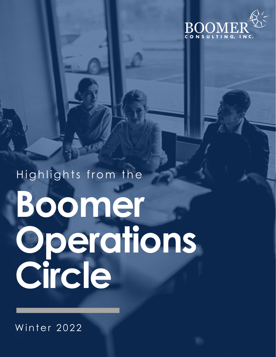

# Highlights from the Boomer Operations<br>Circle

Winter 2022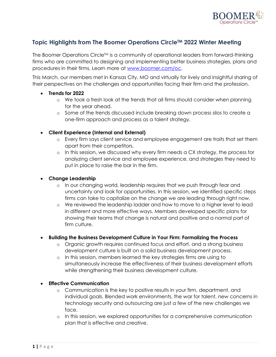

# **Topic Highlights from The Boomer Operations Circle™ 2022 Winter Meeting**

The Boomer Operations Circle<sup>TM</sup> is a community of operational leaders from forward-thinking firms who are committed to designing and implementing better business strategies, plans and procedures in their firms. Learn more at www.boomer.com/oc.

This March, our members met in Kansas City, MO and virtually for lively and insightful sharing of their perspectives on the challenges and opportunities facing their firm and the profession.

### • **Trends for 2022**

- o We took a fresh look at the trends that all firms should consider when planning for the year ahead.
- o Some of the trends discussed include breaking down process silos to create a one-firm approach and process as a talent strategy.

## • **Client Experience (Internal and External)**

- o Every firm says client service and employee engagement are traits that set them apart from their competitors.
- o In this session, we discussed why every firm needs a CX strategy, the process for analyzing client service and employee experience, and strategies they need to put in place to raise the bar in the firm.

### • **Change Leadership**

- o In our changing world, leadership requires that we push through fear and uncertainty and look for opportunities. In this session, we identified specific steps firms can take to capitalize on the change we are leading through right now.
- o We reviewed the leadership ladder and how to move to a higher level to lead in different and more effective ways. Members developed specific plans for showing their teams that change is natural and positive and a normal part of firm culture.

### • **Building the Business Development Culture in Your Firm: Formalizing the Process**

- o Organic growth requires continued focus and effort, and a strong business development culture is built on a solid business development process.
- o In this session, members learned the key strategies firms are using to simultaneously increase the effectiveness of their business development efforts while strengthening their business development culture.
- **Effective Communication**
	- o Communication is the key to positive results in your firm, department, and individual goals. Blended work environments, the war for talent, new concerns in technology security and outsourcing are just a few of the new challenges we face.
	- o In this session, we explored opportunities for a comprehensive communication plan that is effective and creative.